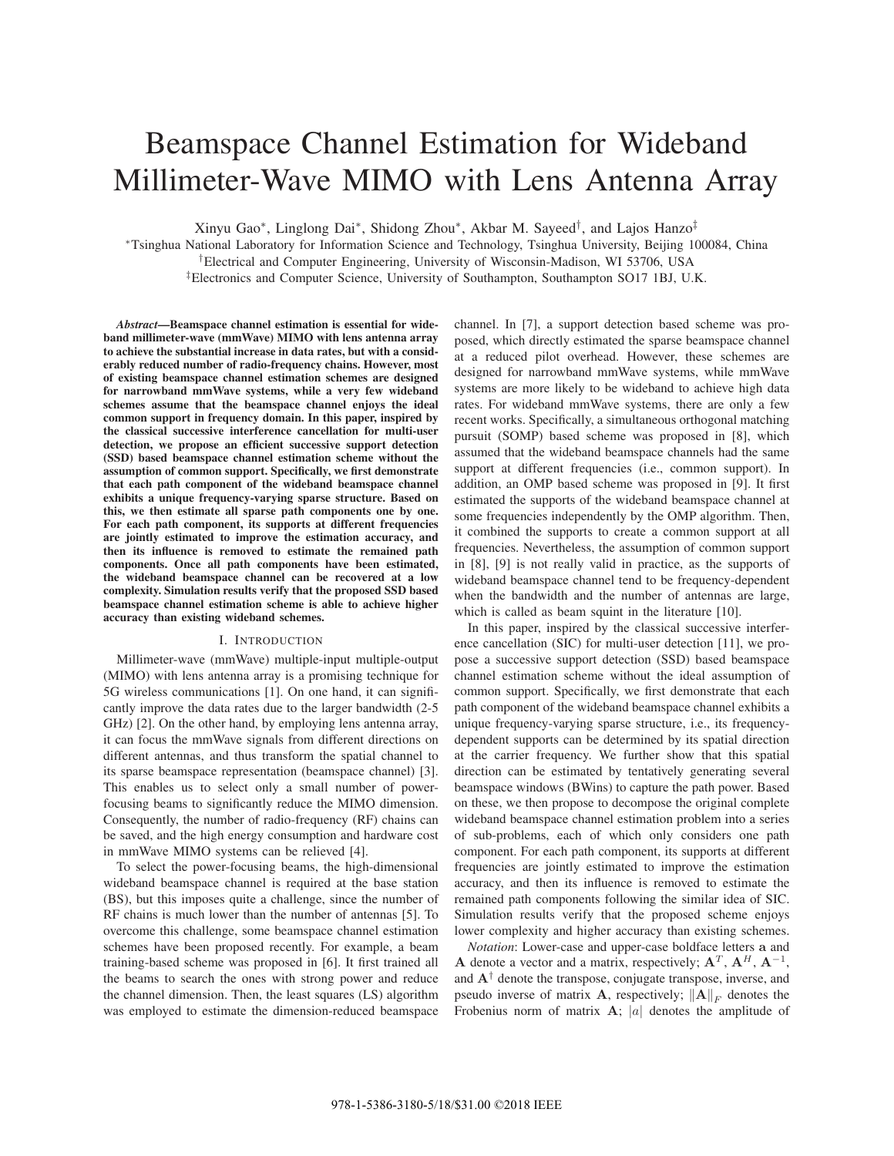# Beamspace Channel Estimation for Wideband Millimeter-Wave MIMO with Lens Antenna Array

Xinyu Gao∗, Linglong Dai∗, Shidong Zhou∗, Akbar M. Sayeed†, and Lajos Hanzo‡

<sup>∗</sup>Tsinghua National Laboratory for Information Science and Technology, Tsinghua University, Beijing 100084, China

†Electrical and Computer Engineering, University of Wisconsin-Madison, WI 53706, USA

‡Electronics and Computer Science, University of Southampton, Southampton SO17 1BJ, U.K.

*Abstract*—Beamspace channel estimation is essential for wideband millimeter-wave (mmWave) MIMO with lens antenna array to achieve the substantial increase in data rates, but with a considerably reduced number of radio-frequency chains. However, most of existing beamspace channel estimation schemes are designed for narrowband mmWave systems, while a very few wideband schemes assume that the beamspace channel enjoys the ideal common support in frequency domain. In this paper, inspired by the classical successive interference cancellation for multi-user detection, we propose an efficient successive support detection (SSD) based beamspace channel estimation scheme without the assumption of common support. Specifically, we first demonstrate that each path component of the wideband beamspace channel exhibits a unique frequency-varying sparse structure. Based on this, we then estimate all sparse path components one by one. For each path component, its supports at different frequencies are jointly estimated to improve the estimation accuracy, and then its influence is removed to estimate the remained path components. Once all path components have been estimated, the wideband beamspace channel can be recovered at a low complexity. Simulation results verify that the proposed SSD based beamspace channel estimation scheme is able to achieve higher accuracy than existing wideband schemes.

# I. INTRODUCTION

Millimeter-wave (mmWave) multiple-input multiple-output (MIMO) with lens antenna array is a promising technique for 5G wireless communications [1]. On one hand, it can significantly improve the data rates due to the larger bandwidth (2-5 GHz) [2]. On the other hand, by employing lens antenna array, it can focus the mmWave signals from different directions on different antennas, and thus transform the spatial channel to its sparse beamspace representation (beamspace channel) [3]. This enables us to select only a small number of powerfocusing beams to significantly reduce the MIMO dimension. Consequently, the number of radio-frequency (RF) chains can be saved, and the high energy consumption and hardware cost in mmWave MIMO systems can be relieved [4].

To select the power-focusing beams, the high-dimensional wideband beamspace channel is required at the base station (BS), but this imposes quite a challenge, since the number of RF chains is much lower than the number of antennas [5]. To overcome this challenge, some beamspace channel estimation schemes have been proposed recently. For example, a beam training-based scheme was proposed in [6]. It first trained all the beams to search the ones with strong power and reduce the channel dimension. Then, the least squares (LS) algorithm was employed to estimate the dimension-reduced beamspace channel. In [7], a support detection based scheme was proposed, which directly estimated the sparse beamspace channel at a reduced pilot overhead. However, these schemes are designed for narrowband mmWave systems, while mmWave systems are more likely to be wideband to achieve high data rates. For wideband mmWave systems, there are only a few recent works. Specifically, a simultaneous orthogonal matching pursuit (SOMP) based scheme was proposed in [8], which assumed that the wideband beamspace channels had the same support at different frequencies (i.e., common support). In addition, an OMP based scheme was proposed in [9]. It first estimated the supports of the wideband beamspace channel at some frequencies independently by the OMP algorithm. Then, it combined the supports to create a common support at all frequencies. Nevertheless, the assumption of common support in [8], [9] is not really valid in practice, as the supports of wideband beamspace channel tend to be frequency-dependent when the bandwidth and the number of antennas are large, which is called as beam squint in the literature [10].

In this paper, inspired by the classical successive interference cancellation (SIC) for multi-user detection [11], we propose a successive support detection (SSD) based beamspace channel estimation scheme without the ideal assumption of common support. Specifically, we first demonstrate that each path component of the wideband beamspace channel exhibits a unique frequency-varying sparse structure, i.e., its frequencydependent supports can be determined by its spatial direction at the carrier frequency. We further show that this spatial direction can be estimated by tentatively generating several beamspace windows (BWins) to capture the path power. Based on these, we then propose to decompose the original complete wideband beamspace channel estimation problem into a series of sub-problems, each of which only considers one path component. For each path component, its supports at different frequencies are jointly estimated to improve the estimation accuracy, and then its influence is removed to estimate the remained path components following the similar idea of SIC. Simulation results verify that the proposed scheme enjoys lower complexity and higher accuracy than existing schemes.

*Notation*: Lower-case and upper-case boldface letters **a** and **A** denote a vector and a matrix, respectively;  $A^T$ ,  $A^H$ ,  $A^{-1}$ , and  $A^{\dagger}$  denote the transpose, conjugate transpose, inverse, and pseudo inverse of matrix **A**, respectively;  $||A||_F$  denotes the Frobenius norm of matrix  $A$ ; |a| denotes the amplitude of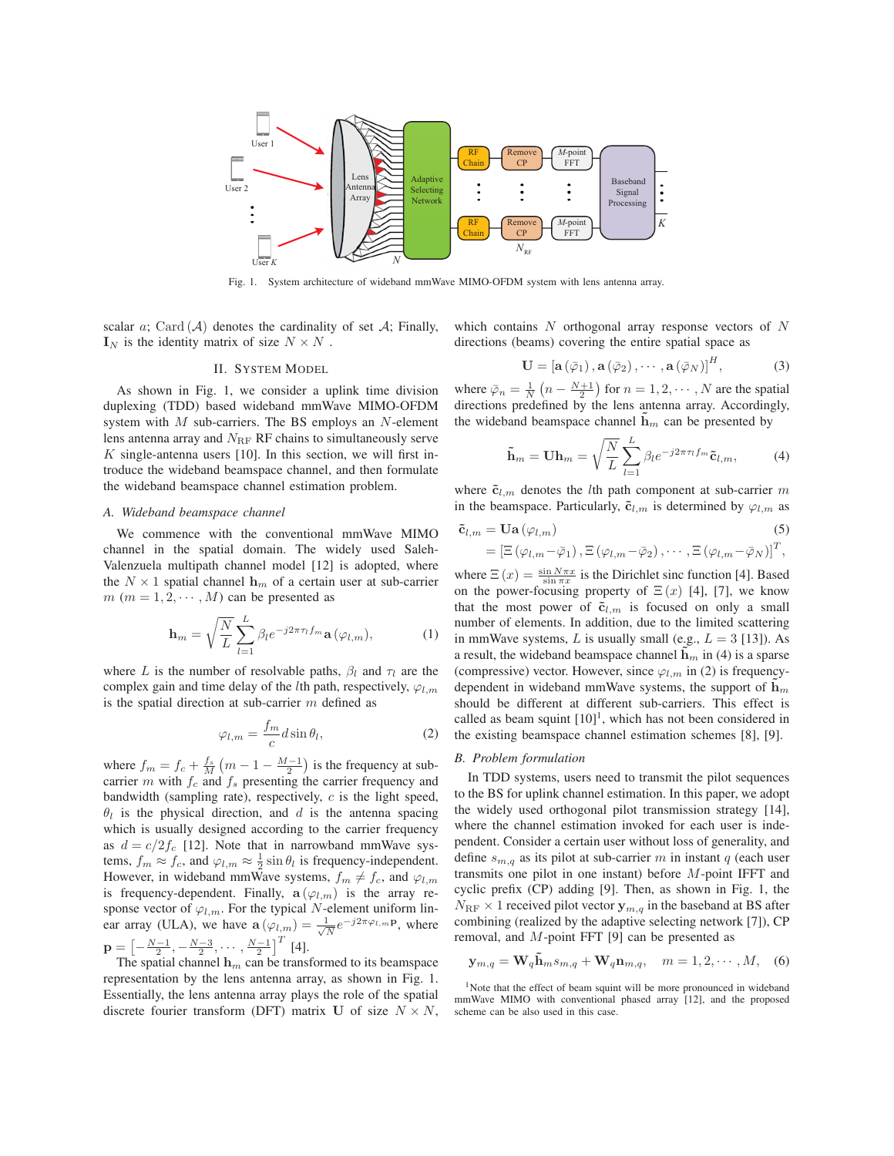

Fig. 1. System architecture of wideband mmWave MIMO-OFDM system with lens antenna array.

scalar  $\alpha$ ; Card  $(\mathcal{A})$  denotes the cardinality of set  $\mathcal{A}$ ; Finally,  $\mathbf{I}_N$  is the identity matrix of size  $N \times N$ .

## II. SYSTEM MODEL

As shown in Fig. 1, we consider a uplink time division duplexing (TDD) based wideband mmWave MIMO-OFDM system with  $M$  sub-carriers. The BS employs an  $N$ -element lens antenna array and  $N_{\rm RF}$  RF chains to simultaneously serve  $K$  single-antenna users [10]. In this section, we will first introduce the wideband beamspace channel, and then formulate the wideband beamspace channel estimation problem.

# *A. Wideband beamspace channel*

We commence with the conventional mmWave MIMO channel in the spatial domain. The widely used Saleh-Valenzuela multipath channel model [12] is adopted, where the  $N \times 1$  spatial channel  $h_m$  of a certain user at sub-carrier  $m$  ( $m = 1, 2, \dots, M$ ) can be presented as

$$
\mathbf{h}_{m} = \sqrt{\frac{N}{L}} \sum_{l=1}^{L} \beta_{l} e^{-j2\pi\tau_{l}f_{m}} \mathbf{a}(\varphi_{l,m}), \qquad (1)
$$

where L is the number of resolvable paths,  $\beta_l$  and  $\tau_l$  are the complex gain and time delay of the *l*th path, respectively,  $\varphi_{l,m}$ is the spatial direction at sub-carrier  $m$  defined as

$$
\varphi_{l,m} = \frac{f_m}{c} d \sin \theta_l, \qquad (2)
$$

where  $f_m = f_c + \frac{f_s}{M} \left( m - 1 - \frac{M-1}{2} \right)$  is the frequency at subcarrier  $m$  with  $f_c$  and  $f_s$  presenting the carrier frequency and bandwidth (sampling rate), respectively,  $c$  is the light speed,  $\theta_l$  is the physical direction, and d is the antenna spacing which is usually designed according to the carrier frequency as  $d = c/2f_c$  [12]. Note that in narrowband mmWave systems,  $f_m \approx f_c$ , and  $\varphi_{l,m} \approx \frac{1}{2} \sin \theta_l$  is frequency-independent. However, in wideband mmWave systems,  $f_m \neq f_c$ , and  $\varphi_{l,m}$ is frequency-dependent. Finally,  $\mathbf{a}(\varphi_{l,m})$  is the array response vector of  $\varphi_{l,m}$ . For the typical N-element uniform linear array (ULA), we have  $\mathbf{a}(\varphi_{l,m}) = \frac{1}{\sqrt{N}}e^{-j2\pi\varphi_{l,m}}\mathbf{P}$ , where  $\mathbf{p} = \left[ -\frac{N-1}{2}, -\frac{N-3}{2}, \cdots, \frac{N-1}{2} \right]^T$  [4].

The spatial channel  $\mathbf{h}_m$  can be transformed to its beamspace representation by the lens antenna array, as shown in Fig. 1. Essentially, the lens antenna array plays the role of the spatial discrete fourier transform (DFT) matrix **U** of size  $N \times N$ , which contains  $N$  orthogonal array response vectors of  $N$ directions (beams) covering the entire spatial space as

$$
\mathbf{U} = \left[\mathbf{a}\left(\bar{\varphi}_1\right), \mathbf{a}\left(\bar{\varphi}_2\right), \cdots, \mathbf{a}\left(\bar{\varphi}_N\right)\right]^H, \tag{3}
$$

where  $\bar{\varphi}_n = \frac{1}{N} \left( n - \frac{N+1}{2} \right)$  for  $n = 1, 2, \dots, N$  are the spatial directions predefined by the lens antenna array. Accordingly, the wideband beamspace channel  $\mathbf{h}_m$  can be presented by

$$
\tilde{\mathbf{h}}_m = \mathbf{U}\mathbf{h}_m = \sqrt{\frac{N}{L}} \sum_{l=1}^{L} \beta_l e^{-j2\pi\tau_l f_m} \tilde{\mathbf{c}}_{l,m},\tag{4}
$$

where  $\tilde{\mathbf{c}}_{l,m}$  denotes the *l*th path component at sub-carrier m in the beamspace. Particularly,  $\tilde{\mathbf{c}}_{l,m}$  is determined by  $\varphi_{l,m}$  as

$$
\begin{aligned} \tilde{\mathbf{c}}_{l,m} &= \mathbf{U}\mathbf{a}\left(\varphi_{l,m}\right) \\ &= \left[\Xi\left(\varphi_{l,m} - \bar{\varphi}_1\right), \Xi\left(\varphi_{l,m} - \bar{\varphi}_2\right), \cdots, \Xi\left(\varphi_{l,m} - \bar{\varphi}_N\right)\right]^T, \end{aligned} \tag{5}
$$

where  $\Xi(x) = \frac{\sin N\pi x}{\sin \pi x}$  is the Dirichlet sinc function [4]. Based on the power-focusing property of  $\Xi(x)$  [4], [7], we know that the most power of  $\tilde{\mathbf{c}}_{l,m}$  is focused on only a small number of elements. In addition, due to the limited scattering in mmWave systems, L is usually small (e.g.,  $L = 3$  [13]). As a result, the wideband beamspace channel  $\mathbf{h}_m$  in (4) is a sparse (compressive) vector. However, since  $\varphi_{l,m}$  in (2) is frequencydependent in wideband mmWave systems, the support of  $h_m$ should be different at different sub-carriers. This effect is called as beam squint  $[10]$ <sup>1</sup>, which has not been considered in the existing beamspace channel estimation schemes [8], [9].

#### *B. Problem formulation*

In TDD systems, users need to transmit the pilot sequences to the BS for uplink channel estimation. In this paper, we adopt the widely used orthogonal pilot transmission strategy [14], where the channel estimation invoked for each user is independent. Consider a certain user without loss of generality, and define  $s_{m,q}$  as its pilot at sub-carrier m in instant q (each user transmits one pilot in one instant) before M-point IFFT and cyclic prefix (CP) adding [9]. Then, as shown in Fig. 1, the  $N_{\text{RF}} \times 1$  received pilot vector  $y_{m,q}$  in the baseband at BS after combining (realized by the adaptive selecting network [7]), CP removal, and M-point FFT [9] can be presented as

$$
\mathbf{y}_{m,q} = \mathbf{W}_q \tilde{\mathbf{h}}_m s_{m,q} + \mathbf{W}_q \mathbf{n}_{m,q}, \quad m = 1, 2, \cdots, M,
$$
 (6)

<sup>1</sup>Note that the effect of beam squint will be more pronounced in wideband mmWave MIMO with conventional phased array [12], and the proposed scheme can be also used in this case.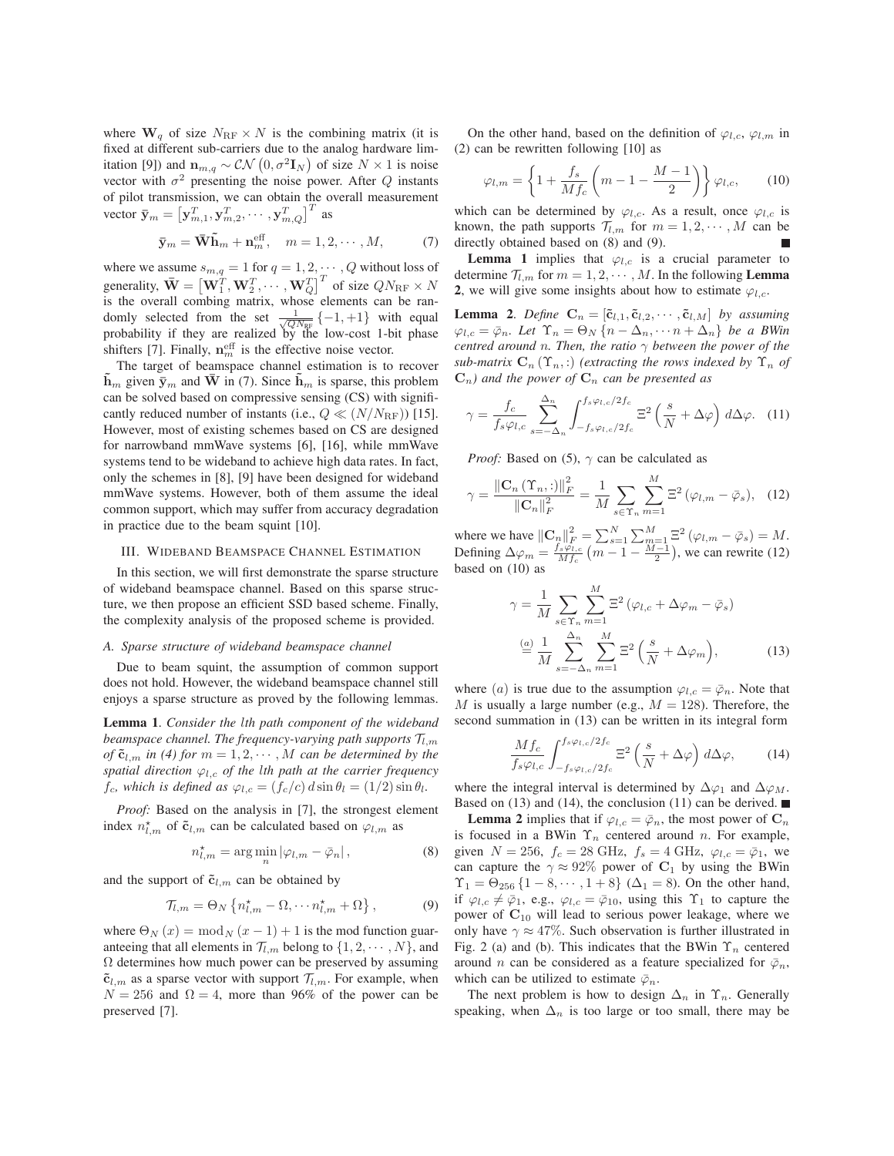where  $\mathbf{W}_q$  of size  $N_{\text{RF}} \times N$  is the combining matrix (it is fixed at different sub-carriers due to the analog hardware limitation [9]) and  $\mathbf{n}_{m,q} \sim \mathcal{CN}\left(0, \sigma^2 \mathbf{I}_N\right)$  of size  $N \times 1$  is noise vector with  $\sigma^2$  presenting the noise power. After Q instants of pilot transmission, we can obtain the overall measurement vector  $\bar{\mathbf{y}}_m = \left[\mathbf{y}_{m,1}^T, \mathbf{y}_{m,2}^T, \cdots, \mathbf{y}_{m,Q}^T\right]^T$  as

$$
\bar{\mathbf{y}}_m = \bar{\mathbf{W}} \tilde{\mathbf{h}}_m + \mathbf{n}_m^{\text{eff}}, \quad m = 1, 2, \cdots, M,
$$
 (7)

where we assume  $s_{m,q} = 1$  for  $q = 1, 2, \dots, Q$  without loss of generality,  $\bar{\mathbf{W}} = \left[\mathbf{W}_1^T, \mathbf{W}_2^T, \cdots, \mathbf{W}_Q^T\right]^T$  of size  $QN_{\text{RF}} \times N$ is the overall combing matrix, whose elements can be randomly selected from the set  $\frac{1}{\sqrt{QN_{RF}}} \{-1, +1\}$  with equal probability if they are realized by the low-cost 1-bit phase shifters [7]. Finally,  $\mathbf{n}_m^{\text{eff}}$  is the effective noise vector.

The target of beamspace channel estimation is to recover  $\mathbf{h}_m$  given  $\bar{\mathbf{y}}_m$  and  $\bar{\mathbf{W}}$  in (7). Since  $\bar{\mathbf{h}}_m$  is sparse, this problem can be solved based on compressive sensing (CS) with significantly reduced number of instants (i.e.,  $Q \ll (N/N_{\text{RF}})$ ) [15]. However, most of existing schemes based on CS are designed for narrowband mmWave systems [6], [16], while mmWave systems tend to be wideband to achieve high data rates. In fact, only the schemes in [8], [9] have been designed for wideband mmWave systems. However, both of them assume the ideal common support, which may suffer from accuracy degradation in practice due to the beam squint [10].

# III. WIDEBAND BEAMSPACE CHANNEL ESTIMATION

In this section, we will first demonstrate the sparse structure of wideband beamspace channel. Based on this sparse structure, we then propose an efficient SSD based scheme. Finally, the complexity analysis of the proposed scheme is provided.

#### *A. Sparse structure of wideband beamspace channel*

Due to beam squint, the assumption of common support does not hold. However, the wideband beamspace channel still enjoys a sparse structure as proved by the following lemmas.

Lemma 1. *Consider the* l*th path component of the wideband beamspace channel. The frequency-varying path supports*  $\mathcal{T}_{l,m}$ *of*  $\tilde{\mathbf{c}}_{l,m}$  *in (4) for*  $m = 1, 2, \cdots, M$  *can be determined by the spatial direction*  $\varphi_{l,c}$  *of the lth path at the carrier frequency*  $f_c$ *, which is defined as*  $\varphi_{l,c} = (f_c/c) d \sin \theta_l = (1/2) \sin \theta_l$ .

*Proof:* Based on the analysis in [7], the strongest element index  $n^{\star}_{l,m}$  of  $\tilde{\mathbf{c}}_{l,m}$  can be calculated based on  $\varphi_{l,m}$  as

$$
n_{l,m}^{\star} = \arg\min_{n} |\varphi_{l,m} - \bar{\varphi}_n|, \qquad (8)
$$

and the support of  $\tilde{\mathbf{c}}_{l,m}$  can be obtained by

$$
\mathcal{T}_{l,m} = \Theta_N \left\{ n_{l,m}^* - \Omega, \cdots n_{l,m}^* + \Omega \right\},\tag{9}
$$

where  $\Theta_N(x) = \text{mod}_N(x - 1) + 1$  is the mod function guaranteeing that all elements in  $\mathcal{T}_{l,m}$  belong to  $\{1, 2, \cdots, N\}$ , and Ω determines how much power can be preserved by assuming  $\tilde{\mathbf{c}}_{l,m}$  as a sparse vector with support  $\mathcal{T}_{l,m}$ . For example, when  $N = 256$  and  $\Omega = 4$ , more than 96% of the power can be preserved [7].

On the other hand, based on the definition of  $\varphi_{l,c}, \varphi_{l,m}$  in (2) can be rewritten following [10] as

$$
\varphi_{l,m} = \left\{ 1 + \frac{f_s}{Mf_c} \left( m - 1 - \frac{M-1}{2} \right) \right\} \varphi_{l,c}, \qquad (10)
$$

which can be determined by  $\varphi_{l,c}$ . As a result, once  $\varphi_{l,c}$  is known, the path supports  $\mathcal{T}_{l,m}$  for  $m = 1, 2, \cdots, M$  can be directly obtained based on (8) and (9).

**Lemma 1** implies that  $\varphi_{l,c}$  is a crucial parameter to determine  $\mathcal{T}_{l,m}$  for  $m = 1, 2, \cdots, M$ . In the following **Lemma** 2, we will give some insights about how to estimate  $\varphi_{l,c}$ .

**Lemma 2.** *Define*  $\mathbf{C}_n = [\tilde{\mathbf{c}}_{l,1}, \tilde{\mathbf{c}}_{l,2}, \cdots, \tilde{\mathbf{c}}_{l,M}]$  *by assuming*  $\varphi_{l,c} = \bar{\varphi}_n$ *. Let*  $\Upsilon_n = \Theta_N \{n - \Delta_n, \dots n + \Delta_n\}$  *be a BWin centred around n. Then, the ratio*  $\gamma$  *between the power of the sub-matrix*  $\mathbf{C}_n(\Upsilon_n,:)$  *(extracting the rows indexed by*  $\Upsilon_n$  *of*  $\mathbf{C}_n$ *) and the power of*  $\mathbf{C}_n$  *can be presented as* 

$$
\gamma = \frac{f_c}{f_s \varphi_{l,c}} \sum_{s=-\Delta_n}^{\Delta_n} \int_{-f_s \varphi_{l,c}/2f_c}^{f_s \varphi_{l,c}/2f_c} \Xi^2 \left(\frac{s}{N} + \Delta \varphi\right) d\Delta \varphi. \tag{11}
$$

*Proof:* Based on (5),  $\gamma$  can be calculated as

$$
\gamma = \frac{\|\mathbf{C}_n(\Upsilon_{n,:})\|_F^2}{\|\mathbf{C}_n\|_F^2} = \frac{1}{M} \sum_{s \in \Upsilon_n} \sum_{m=1}^M \Xi^2 (\varphi_{l,m} - \bar{\varphi}_s), \quad (12)
$$

where we have  $\|\mathbf{C}_n\|_F^2 = \sum_{s=1}^N \sum_{m=1}^M \Xi^2 (\varphi_{l,m} - \bar{\varphi}_s) = M.$ Defining  $\Delta \varphi_m = \frac{f_s \varphi_{l,c}}{Mf_c} \left( m - 1 - \frac{M-1}{2} \right)$ , we can rewrite (12) based on (10) as

$$
\gamma = \frac{1}{M} \sum_{s \in \Upsilon_n} \sum_{m=1}^M \Xi^2 (\varphi_{l,c} + \Delta \varphi_m - \bar{\varphi}_s)
$$

$$
\stackrel{(a)}{=} \frac{1}{M} \sum_{s=-\Delta_n}^{\Delta_n} \sum_{m=1}^M \Xi^2 \left( \frac{s}{N} + \Delta \varphi_m \right),
$$
(13)

where (a) is true due to the assumption  $\varphi_{l,c} = \overline{\varphi}_n$ . Note that M is usually a large number (e.g.,  $M = 128$ ). Therefore, the second summation in (13) can be written in its integral form

$$
\frac{Mf_c}{f_s \varphi_{l,c}} \int_{-f_s \varphi_{l,c}/2f_c}^{f_s \varphi_{l,c}/2f_c} \Xi^2 \left(\frac{s}{N} + \Delta \varphi\right) d\Delta \varphi, \tag{14}
$$

where the integral interval is determined by  $\Delta\varphi_1$  and  $\Delta\varphi_M$ . Based on (13) and (14), the conclusion (11) can be derived.  $\blacksquare$ 

**Lemma 2** implies that if  $\varphi_{l,c} = \bar{\varphi}_n$ , the most power of  $\mathbf{C}_n$ is focused in a BWin  $\Upsilon_n$  centered around n. For example, given  $N = 256$ ,  $f_c = 28 \text{ GHz}$ ,  $f_s = 4 \text{ GHz}$ ,  $\varphi_{l,c} = \bar{\varphi}_1$ , we can capture the  $\gamma \approx 92\%$  power of C<sub>1</sub> by using the BWin  $\Upsilon_1 = \Theta_{256} \{1 - 8, \dots, 1 + 8\} \ (\Delta_1 = 8)$ . On the other hand, if  $\varphi_{l,c} \neq \bar{\varphi}_1$ , e.g.,  $\varphi_{l,c} = \bar{\varphi}_{10}$ , using this  $\Upsilon_1$  to capture the power of **C**<sup>10</sup> will lead to serious power leakage, where we only have  $\gamma \approx 47\%$ . Such observation is further illustrated in Fig. 2 (a) and (b). This indicates that the BWin  $\Upsilon_n$  centered around *n* can be considered as a feature specialized for  $\bar{\varphi}_n$ , which can be utilized to estimate  $\bar{\varphi}_n$ .

The next problem is how to design  $\Delta_n$  in  $\Upsilon_n$ . Generally speaking, when  $\Delta_n$  is too large or too small, there may be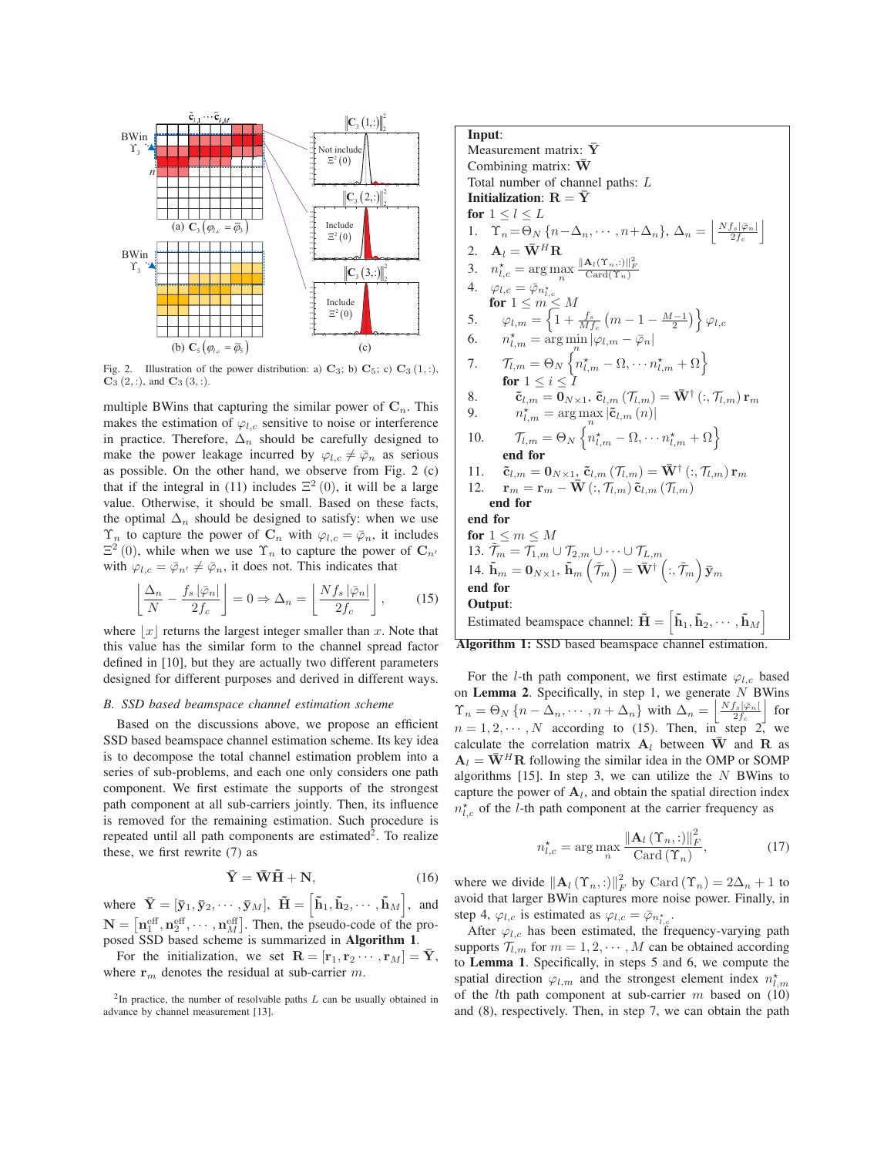

Fig. 2. Illustration of the power distribution: a)  $C_3$ ; b)  $C_5$ ; c)  $C_3$  (1, :),  $C_3$  (2, :), and  $C_3$  (3, :).

multiple BWins that capturing the similar power of  $C_n$ . This makes the estimation of  $\varphi_{l,c}$  sensitive to noise or interference in practice. Therefore,  $\Delta_n$  should be carefully designed to make the power leakage incurred by  $\varphi_{l,c} \neq \bar{\varphi}_n$  as serious as possible. On the other hand, we observe from Fig. 2 (c) that if the integral in (11) includes  $\Xi^2(0)$ , it will be a large value. Otherwise, it should be small. Based on these facts, the optimal  $\Delta_n$  should be designed to satisfy: when we use  $\Upsilon_n$  to capture the power of  $\mathbf{C}_n$  with  $\varphi_{l,c} = \overline{\varphi}_n$ , it includes  $\Xi^2$  (0), while when we use  $\Upsilon_n$  to capture the power of  $C_{n'}$ with  $\varphi_{l,c} = \bar{\varphi}_{n'} \neq \bar{\varphi}_n$ , it does not. This indicates that

$$
\left\lfloor \frac{\Delta_n}{N} - \frac{f_s \left| \bar{\varphi}_n \right|}{2f_c} \right\rfloor = 0 \Rightarrow \Delta_n = \left\lfloor \frac{N f_s \left| \bar{\varphi}_n \right|}{2f_c} \right\rfloor, \tag{15}
$$

where  $|x|$  returns the largest integer smaller than x. Note that this value has the similar form to the channel spread factor defined in [10], but they are actually two different parameters designed for different purposes and derived in different ways.

#### *B. SSD based beamspace channel estimation scheme*

Based on the discussions above, we propose an efficient SSD based beamspace channel estimation scheme. Its key idea is to decompose the total channel estimation problem into a series of sub-problems, and each one only considers one path component. We first estimate the supports of the strongest path component at all sub-carriers jointly. Then, its influence is removed for the remaining estimation. Such procedure is repeated until all path components are estimated<sup>2</sup>. To realize these, we first rewrite (7) as

$$
\bar{\mathbf{Y}} = \bar{\mathbf{W}} \tilde{\mathbf{H}} + \mathbf{N},\tag{16}
$$

where  $\bar{\mathbf{Y}} = [\bar{\mathbf{y}}_1, \bar{\mathbf{y}}_2, \cdots, \bar{\mathbf{y}}_M], \ \tilde{\mathbf{H}} = \begin{bmatrix} \tilde{\mathbf{h}}_1, \tilde{\mathbf{h}}_2, \cdots, \tilde{\mathbf{h}}_M \end{bmatrix}, \text{ and}$  $N = \left[ \mathbf{n}_1^{\text{eff}}, \mathbf{n}_2^{\text{eff}}, \cdots, \mathbf{n}_M^{\text{eff}} \right]$ . Then, the pseudo-code of the proposed SSD based scheme is summarized in Algorithm 1.

For the initialization, we set  $\mathbf{R} = [\mathbf{r}_1, \mathbf{r}_2 \cdots, \mathbf{r}_M] = \overline{\mathbf{Y}},$ where  $\mathbf{r}_m$  denotes the residual at sub-carrier m.

| Input:                                                                                                                                                                                                |
|-------------------------------------------------------------------------------------------------------------------------------------------------------------------------------------------------------|
| Measurement matrix: Y                                                                                                                                                                                 |
| Combining matrix: $\bar{W}$                                                                                                                                                                           |
| Total number of channel paths: L                                                                                                                                                                      |
| Initialization: $R = Y$                                                                                                                                                                               |
| for $1 \leq l \leq L$                                                                                                                                                                                 |
| $\Upsilon_n = \Theta_N \left\{ n - \Delta_n, \cdots, n + \Delta_n \right\}, \, \Delta_n = \left  \frac{N f_s  \bar{\varphi}_n }{2 f_n} \right $<br>1.                                                 |
| 2. $\mathbf{A}_l = \mathbf{\bar{W}}^H \mathbf{R}$                                                                                                                                                     |
| 3. $n_{l,c}^{\star} = \arg \max_{n} \frac{\ \mathbf{A}_{l}(\Upsilon_{n,:})\ _{F}^{2}}{\text{Card}(\Upsilon_{n})}$                                                                                     |
| 4.<br>$\varphi_{l,c} = \bar{\varphi}_{n_{l,c}^*}$<br>for $1 \leq m \leq M$                                                                                                                            |
|                                                                                                                                                                                                       |
| $\varphi_{l,m} = \left\{1 + \frac{f_s}{Mf_c}\left(m-1-\frac{M-1}{2}\right)\right\}\varphi_{l,c}$<br>5.                                                                                                |
| 6.<br>$n_{l,m}^{\star} = \arg \min_{m}  \varphi_{l,m} - \bar{\varphi}_n $                                                                                                                             |
| $\mathcal{T}_{l,m} = \Theta_N \left\{ n_{l,m}^\star - \Omega, \cdots n_{l,m}^\star + \Omega \right\}$<br>7.                                                                                           |
| for $1 \leq i \leq I$                                                                                                                                                                                 |
| $\mathbf{\tilde{c}}_{l,m} = \mathbf{0}_{N \times 1}, \, \mathbf{\tilde{c}}_{l,m} \left(\mathcal{T}_{l,m}\right) = \mathbf{\bar{W}}^{\dagger} \left(:,\mathcal{T}_{l,m}\right) \mathbf{r}_{m}$<br>8.   |
| 9.<br>$n_{l,m}^{\star} = \arg \max \left  \tilde{\mathbf{c}}_{l,m} \left( n \right) \right $                                                                                                          |
| $\mathcal{T}_{l,m} = \Theta_N \left\{ n_{l,m}^\star - \Omega, \cdots n_{l,m}^\star + \Omega \right\}$<br>10.                                                                                          |
| end for                                                                                                                                                                                               |
| $\mathbf{\tilde{c}}_{l,m} = \mathbf{0}_{N \times 1}, \, \mathbf{\tilde{c}}_{l,m} \left(\mathcal{T}_{l,m}\right) = \mathbf{\bar{W}}^{\dagger} \left(:,\mathcal{T}_{l,m}\right) \mathbf{r}_{m}$<br>11.  |
| $\mathbf{r}_{m}=\mathbf{r}_{m}-\bar{\mathbf{W}}$ $(:,\mathcal{T}_{l,m})$ $\tilde{\mathbf{c}}_{l,m}$ $(\mathcal{T}_{l,m})$<br>12.                                                                      |
| end for                                                                                                                                                                                               |
| end for                                                                                                                                                                                               |
| for $1 \le m \le M$                                                                                                                                                                                   |
| 13. $\tilde{\mathcal{T}}_m = \mathcal{T}_{1,m} \cup \mathcal{T}_{2,m} \cup \cdots \cup \mathcal{T}_{L,m}$                                                                                             |
| 14. $\tilde{\mathbf{h}}_{m}=\mathbf{0}_{N\times 1},\ \tilde{\mathbf{h}}_{m}\left(\tilde{\mathcal{T}}_{m}\right)=\bar{\mathbf{W}}^{\dagger}\left(:,\tilde{\mathcal{T}}_{m}\right)\bar{\mathbf{y}}_{m}$ |
| end for                                                                                                                                                                                               |
| Output:                                                                                                                                                                                               |
| Estimated beamspace channel: $\tilde{\mathbf{H}} = \left  \tilde{\mathbf{h}}_1, \tilde{\mathbf{h}}_2, \cdots, \tilde{\mathbf{h}}_M \right $                                                           |
| <b>Algorithm 1:</b> SSD based beamspace channel estimation.                                                                                                                                           |

For the *l*-th path component, we first estimate  $\varphi_{l,c}$  based on Lemma 2. Specifically, in step 1, we generate  $N$  BWins  $\Upsilon_n = \Theta_N \left\{ n - \Delta_n, \cdots, n + \Delta_n \right\}$  with  $\Delta_n = \left| \frac{Nf_s|\bar{\varphi}_n|}{2f_c} \right|$  for  $n = 1, 2, \dots, N$  according to (15). Then, in step 2, we calculate the correlation matrix  $A_l$  between  $\overline{W}$  and **R** as  $A_l = \bar{W}^H R$  following the similar idea in the OMP or SOMP algorithms [15]. In step 3, we can utilize the  $N$  BWins to capture the power of  $A<sub>l</sub>$ , and obtain the spatial direction index  $n_{l,c}^{\star}$  of the l-th path component at the carrier frequency as

$$
n_{l,c}^{\star} = \arg \max_{n} \frac{\left\| \mathbf{A}_{l} \left( \Upsilon_{n}, : \right) \right\|_{F}^{2}}{\text{Card} \left( \Upsilon_{n} \right)},\tag{17}
$$

where we divide  $\|\mathbf{A}_l(\Upsilon_n, \cdot)\|_F^2$  by Card  $(\Upsilon_n) = 2\Delta_n + 1$  to avoid that larger BWin captures more noise power. Finally, in step 4,  $\varphi_{l,c}$  is estimated as  $\varphi_{l,c} = \bar{\varphi}_{n_{l,c}^{\star}}$ .

After  $\varphi_{l,c}$  has been estimated, the frequency-varying path supports  $\mathcal{T}_{l,m}$  for  $m = 1, 2, \cdots, M$  can be obtained according to Lemma 1. Specifically, in steps 5 and 6, we compute the spatial direction  $\varphi_{l,m}$  and the strongest element index  $n^{\star}_{l,m}$ of the *lth* path component at sub-carrier  $m$  based on (10) and (8), respectively. Then, in step 7, we can obtain the path

 $2$ In practice, the number of resolvable paths  $L$  can be usually obtained in advance by channel measurement [13].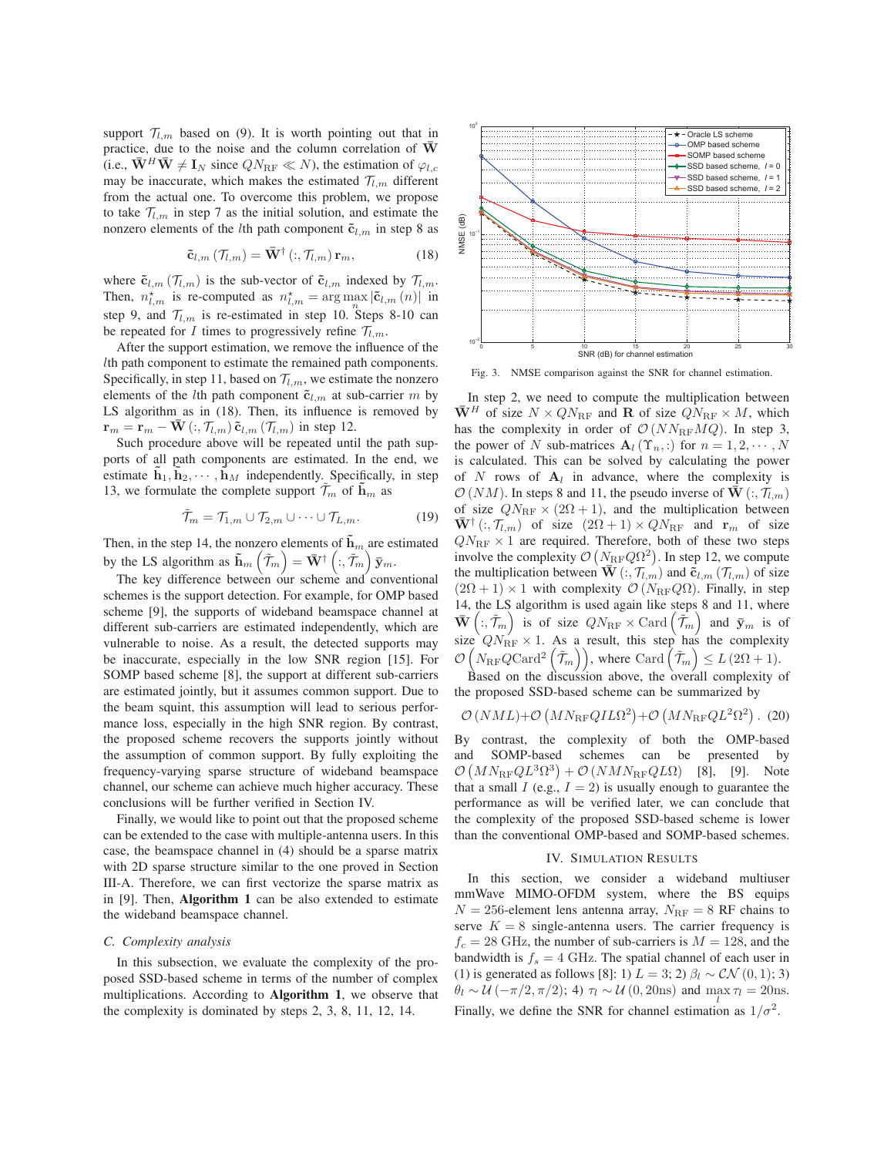support  $\mathcal{T}_{l,m}$  based on (9). It is worth pointing out that in practice, due to the noise and the column correlation of  $\overline{W}$ (i.e.,  $\bar{\mathbf{W}}^H \bar{\mathbf{W}} \neq \mathbf{I}_N$  since  $QN_{\rm RF} \ll N$ ), the estimation of  $\varphi_{l,c}$ may be inaccurate, which makes the estimated  $\mathcal{T}_{l,m}$  different from the actual one. To overcome this problem, we propose to take  $\mathcal{T}_{l,m}$  in step 7 as the initial solution, and estimate the nonzero elements of the *l*th path component  $\tilde{\mathbf{c}}_{l,m}$  in step 8 as

$$
\tilde{\mathbf{c}}_{l,m}\left(\mathcal{T}_{l,m}\right) = \bar{\mathbf{W}}^{\dagger}\left(:,\mathcal{T}_{l,m}\right)\mathbf{r}_m,\tag{18}
$$

where  $\tilde{\mathbf{c}}_{l,m}$  ( $\mathcal{T}_{l,m}$ ) is the sub-vector of  $\tilde{\mathbf{c}}_{l,m}$  indexed by  $\mathcal{T}_{l,m}$ . Then,  $n_{l,m}^{\star}$  is re-computed as  $n_{l,m}^{\star} = \arg \max_{n} |\tilde{\mathbf{c}}_{l,m}(n)|$  in step 9, and  $\mathcal{T}_{l,m}$  is re-estimated in step 10. Steps 8-10 can be repeated for I times to progressively refine  $\mathcal{T}_{l,m}$ .

After the support estimation, we remove the influence of the lth path component to estimate the remained path components. Specifically, in step 11, based on  $\mathcal{T}_{l,m}$ , we estimate the nonzero elements of the *l*th path component  $\tilde{\mathbf{c}}_{l,m}$  at sub-carrier m by LS algorithm as in (18). Then, its influence is removed by  $\mathbf{r}_m = \mathbf{r}_m - \bar{\mathbf{W}}$  (:,  $\mathcal{T}_{l,m}$ )  $\tilde{\mathbf{c}}_{l,m}$  ( $\mathcal{T}_{l,m}$ ) in step 12.

Such procedure above will be repeated until the path supports of all path components are estimated. In the end, we estimate  $\tilde{\mathbf{h}}_1, \tilde{\mathbf{h}}_2, \cdots, \tilde{\mathbf{h}}_M$  independently. Specifically, in step 13, we formulate the complete support  $\tilde{\mathcal{T}}_m$  of  $\tilde{\mathbf{h}}_m$  as

$$
\tilde{\mathcal{T}}_m = \mathcal{T}_{1,m} \cup \mathcal{T}_{2,m} \cup \cdots \cup \mathcal{T}_{L,m}.
$$
 (19)

Then, in the step 14, the nonzero elements of  $\mathbf{h}_m$  are estimated by the LS algorithm as  $\tilde{\mathbf{h}}_m\left(\tilde{\mathcal{T}}_m\right) = \bar{\mathbf{W}}^{\dagger}\left(:,\tilde{\mathcal{T}}_m\right)\bar{\mathbf{y}}_m$ .

The key difference between our scheme and conventional schemes is the support detection. For example, for OMP based scheme [9], the supports of wideband beamspace channel at different sub-carriers are estimated independently, which are vulnerable to noise. As a result, the detected supports may be inaccurate, especially in the low SNR region [15]. For SOMP based scheme [8], the support at different sub-carriers are estimated jointly, but it assumes common support. Due to the beam squint, this assumption will lead to serious performance loss, especially in the high SNR region. By contrast, the proposed scheme recovers the supports jointly without the assumption of common support. By fully exploiting the frequency-varying sparse structure of wideband beamspace channel, our scheme can achieve much higher accuracy. These conclusions will be further verified in Section IV.

Finally, we would like to point out that the proposed scheme can be extended to the case with multiple-antenna users. In this case, the beamspace channel in (4) should be a sparse matrix with 2D sparse structure similar to the one proved in Section III-A. Therefore, we can first vectorize the sparse matrix as in [9]. Then, Algorithm 1 can be also extended to estimate the wideband beamspace channel.

## *C. Complexity analysis*

In this subsection, we evaluate the complexity of the proposed SSD-based scheme in terms of the number of complex multiplications. According to Algorithm 1, we observe that the complexity is dominated by steps 2, 3, 8, 11, 12, 14.



Fig. 3. NMSE comparison against the SNR for channel estimation.

In step 2, we need to compute the multiplication between  $\overline{\mathbf{W}}^{H}$  of size  $N \times QN_{\text{RF}}$  and **R** of size  $QN_{\text{RF}} \times M$ , which has the complexity in order of  $\mathcal{O}(NN_{\text{RF}}MQ)$ . In step 3, the power of N sub-matrices  $A_l(\Upsilon_n, \cdot)$  for  $n = 1, 2, \cdots, N$ is calculated. This can be solved by calculating the power of  $N$  rows of  $A_l$  in advance, where the complexity is  $\mathcal{O}(NM)$ . In steps 8 and 11, the pseudo inverse of  $\bar{W}(:, \mathcal{T}_{l,m})$ of size  $QN_{\text{RF}} \times (2\Omega + 1)$ , and the multiplication between  $\overline{\mathbf{W}}^{\dagger}$  (:,  $\mathcal{T}_{l,m}$ ) of size  $(2\Omega + 1) \times QN_{\text{RF}}$  and  $\mathbf{r}_m$  of size  $QN_{\text{RF}} \times 1$  are required. Therefore, both of these two steps involve the complexity  $\mathcal{O}(N_{\text{RF}}Q\Omega^2)$ . In step 12, we compute the multiplication between  $\overline{\mathbf{W}}$  (:,  $\mathcal{T}_{l,m}$ ) and  $\tilde{\mathbf{c}}_{l,m}$  ( $\mathcal{T}_{l,m}$ ) of size  $(2\Omega + 1) \times 1$  with complexity  $\mathcal{O}(N_{\text{RF}}Q\Omega)$ . Finally, in step 14, the LS algorithm is used again like steps 8 and 11, where  $\bar{\mathbf{W}}\left(:, \tilde{\mathcal{T}}_m\right)$  is of size  $QN_{\text{RF}} \times \text{Card}\left(\tilde{\mathcal{T}}_m\right)$  and  $\bar{\mathbf{y}}_m$  is of size  $QN_{\text{RF}} \times 1$ . As a result, this step has the complexity  $\mathcal{O}\left(N_{\text{RF}}Q\text{Card}^2\left(\tilde{\mathcal{T}}_m\right)\right)$ , where Card  $(\tilde{\mathcal{T}}_m)\leq L(2\Omega+1)$ .

Based on the discussion above, the overall complexity of the proposed SSD-based scheme can be summarized by

$$
\mathcal{O}(NML) + \mathcal{O}(MN_{\text{RF}}QIL\Omega^2) + \mathcal{O}(MN_{\text{RF}}QL^2\Omega^2).
$$
 (20)

By contrast, the complexity of both the OMP-based and SOMP-based schemes can be presented by  $\mathcal{O}(MN_{\text{RF}}QL^3\Omega^3) + \mathcal{O}(NMN_{\text{RF}}QL\Omega)$  [8], [9]. Note that a small I (e.g.,  $I = 2$ ) is usually enough to guarantee the performance as will be verified later, we can conclude that the complexity of the proposed SSD-based scheme is lower than the conventional OMP-based and SOMP-based schemes.

### IV. SIMULATION RESULTS

In this section, we consider a wideband multiuser mmWave MIMO-OFDM system, where the BS equips  $N = 256$ -element lens antenna array,  $N_{\text{RF}} = 8$  RF chains to serve  $K = 8$  single-antenna users. The carrier frequency is  $f_c = 28$  GHz, the number of sub-carriers is  $M = 128$ , and the bandwidth is  $f_s = 4$  GHz. The spatial channel of each user in (1) is generated as follows [8]: 1)  $L = 3$ ; 2)  $\beta_l \sim \mathcal{CN}(0, 1)$ ; 3)  $\theta_l \sim \mathcal{U}\left(-\pi/2, \pi/2\right);$  4)  $\tau_l \sim \mathcal{U}\left(0, 20 \text{ns}\right)$  and  $\max_i \tau_l = 20 \text{ns}.$ Finally, we define the SNR for channel estimation as  $1/\sigma^2$ .